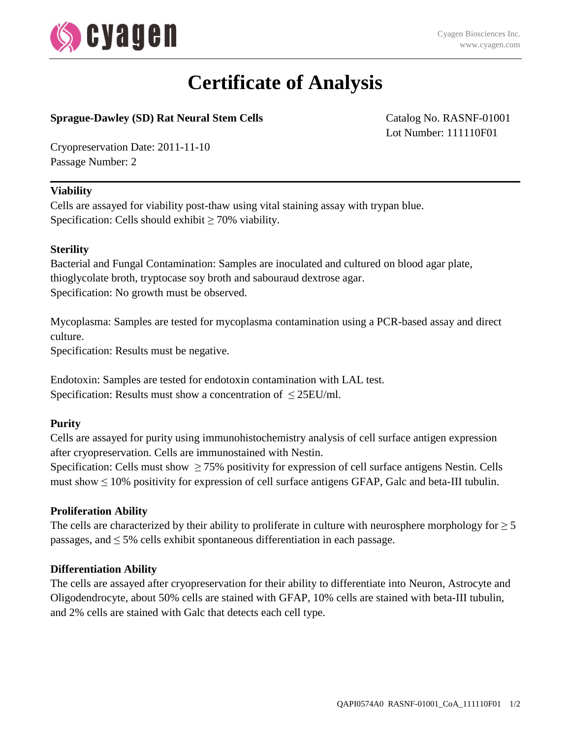

# **Certificate of Analysis**

## **Sprague-Dawley (SD) Rat Neural Stem Cells** Catalog No. RASNF-01001

Lot Number: 111110F01

Cryopreservation Date: 2011-11-10 Passage Number: 2

#### **Viability**

Cells are assayed for viability post-thaw using vital staining assay with trypan blue. Specification: Cells should exhibit  $\geq 70\%$  viability.

#### **Sterility**

Bacterial and Fungal Contamination: Samples are inoculated and cultured on blood agar plate, thioglycolate broth, tryptocase soy broth and sabouraud dextrose agar. Specification: No growth must be observed.

Mycoplasma: Samples are tested for mycoplasma contamination using a PCR-based assay and direct culture.

Specification: Results must be negative.

Endotoxin: Samples are tested for endotoxin contamination with LAL test. Specification: Results must show a concentration of  $\leq$  25EU/ml.

## **Purity**

Cells are assayed for purity using immunohistochemistry analysis of cell surface antigen expression after cryopreservation. Cells are immunostained with Nestin.

Specification: Cells must show  $\geq$  75% positivity for expression of cell surface antigens Nestin. Cells must show  $\leq 10\%$  positivity for expression of cell surface antigens GFAP, Galc and beta-III tubulin.

## **Proliferation Ability**

The cells are characterized by their ability to proliferate in culture with neurosphere morphology for  $\geq 5$ passages, and  $\leq$  5% cells exhibit spontaneous differentiation in each passage.

#### **Differentiation Ability**

The cells are assayed after cryopreservation for their ability to differentiate into Neuron, Astrocyte and Oligodendrocyte, about 50% cells are stained with GFAP, 10% cells are stained with beta-III tubulin, and 2% cells are stained with Galc that detects each cell type.